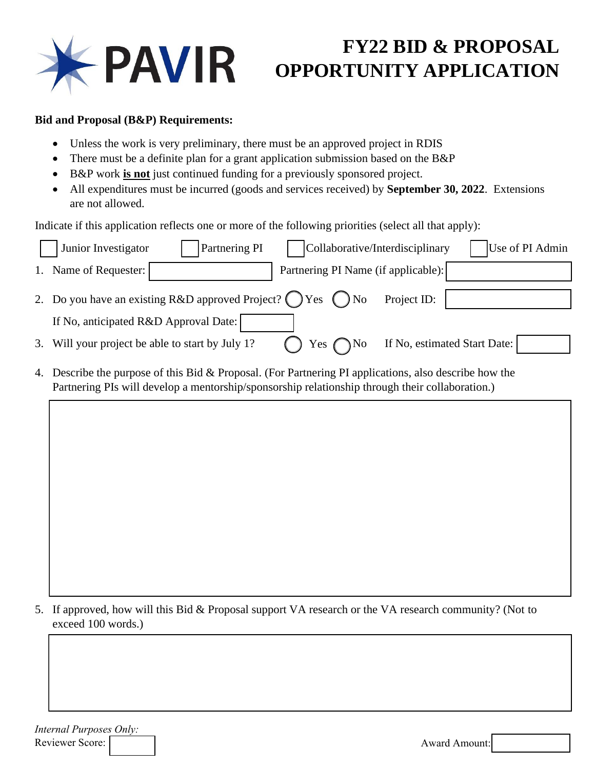

## **FY22 BID & PROPOSAL OPPORTUNITY APPLICATION**

## **Bid and Proposal (B&P) Requirements:**

- Unless the work is very preliminary, there must be an approved project in RDIS
- There must be a definite plan for a grant application submission based on the B&P
- B&P work **is not** just continued funding for a previously sponsored project.
- All expenditures must be incurred (goods and services received) by **September 30, 2022**. Extensions are not allowed.

Indicate if this application reflects one or more of the following priorities (select all that apply):

|    | Junior Investigator<br>Collaborative/Interdisciplinary<br>Partnering PI<br>Use of PI Admin                                                                                                             |  |  |
|----|--------------------------------------------------------------------------------------------------------------------------------------------------------------------------------------------------------|--|--|
| 1. | Partnering PI Name (if applicable):<br>Name of Requester:                                                                                                                                              |  |  |
|    | 2. Do you have an existing R&D approved Project? $\bigcap$ Yes $\bigcap$ No<br>Project ID:                                                                                                             |  |  |
|    | If No, anticipated R&D Approval Date:                                                                                                                                                                  |  |  |
| 3. | If No, estimated Start Date:<br>Will your project be able to start by July 1?<br>Yes $\bigcap$ No                                                                                                      |  |  |
| 4. | Describe the purpose of this Bid & Proposal. (For Partnering PI applications, also describe how the<br>Partnering PIs will develop a mentorship/sponsorship relationship through their collaboration.) |  |  |
|    |                                                                                                                                                                                                        |  |  |
|    |                                                                                                                                                                                                        |  |  |

5. If approved, how will this Bid & Proposal support VA research or the VA research community? (Not to exceed 100 words.)